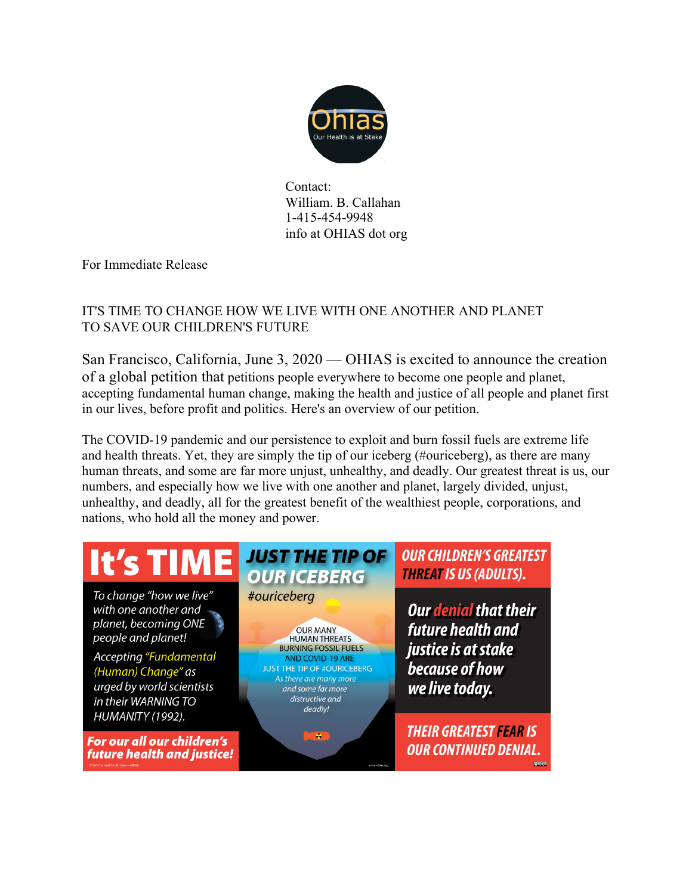

Contact: William. B. Callahan 1-415-454-9948 info at OHIAS dot org

For Immediate Release

## IT'S TIME TO CHANGE HOW WE LIVE WITH ONE ANOTHER AND PLANET TO SAVE OUR CHILDREN'S FUTURE

San Francisco, California, June 3, 2020 — OHIAS is excited to announce the creation of a global petition that petitions people everywhere to become one people and planet, accepting fundamental human change, making the health and justice of all people and planet first in our lives, before profit and politics. Here's an overview of our petition.

The COVID-19 pandemic and our persistence to exploit and burn fossil fuels are extreme life and health threats. Yet, they are simply the tip of our iceberg (#ouriceberg), as there are many human threats, and some are far more unjust, unhealthy, and deadly. Our greatest threat is us, our numbers, and especially how we live with one another and planet, largely divided, unjust, unhealthy, and deadly, all for the greatest benefit of the wealthiest people, corporations, and nations, who hold all the money and power.

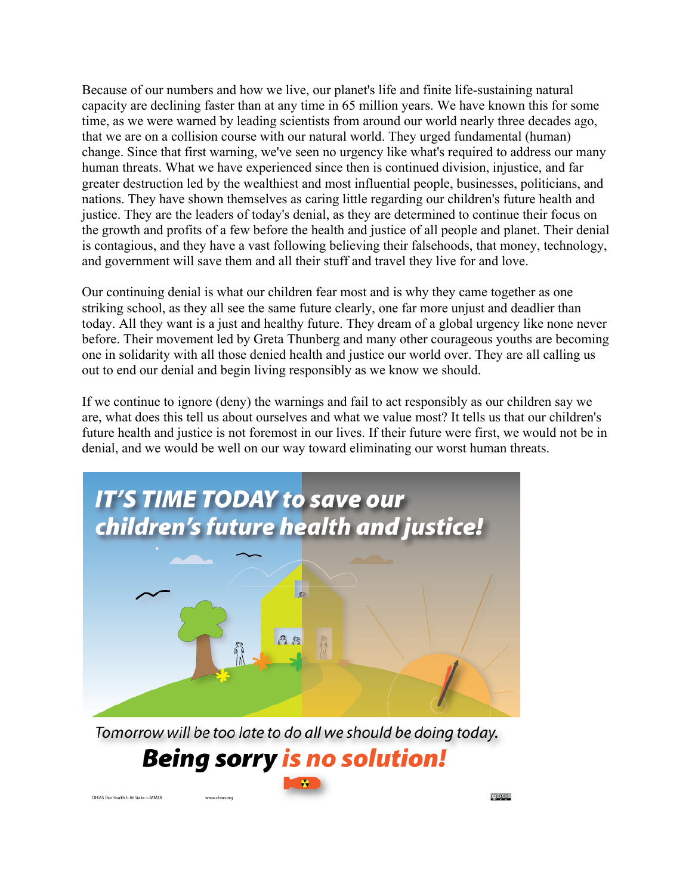Because of our numbers and how we live, our planet's life and finite life-sustaining natural capacity are declining faster than at any time in 65 million years. We have known this for some time, as we were warned by leading scientists from around our world nearly three decades ago, that we are on a collision course with our natural world. They urged fundamental (human) change. Since that first warning, we've seen no urgency like what's required to address our many human threats. What we have experienced since then is continued division, injustice, and far greater destruction led by the wealthiest and most influential people, businesses, politicians, and nations. They have shown themselves as caring little regarding our children's future health and justice. They are the leaders of today's denial, as they are determined to continue their focus on the growth and profits of a few before the health and justice of all people and planet. Their denial is contagious, and they have a vast following believing their falsehoods, that money, technology, and government will save them and all their stuff and travel they live for and love.

Our continuing denial is what our children fear most and is why they came together as one striking school, as they all see the same future clearly, one far more unjust and deadlier than today. All they want is a just and healthy future. They dream of a global urgency like none never before. Their movement led by Greta Thunberg and many other courageous youths are becoming one in solidarity with all those denied health and justice our world over. They are all calling us out to end our denial and begin living responsibly as we know we should.

If we continue to ignore (deny) the warnings and fail to act responsibly as our children say we are, what does this tell us about ourselves and what we value most? It tells us that our children's future health and justice is not foremost in our lives. If their future were first, we would not be in denial, and we would be well on our way toward eliminating our worst human threats.



Tomorrow will be too late to do all we should be doing today. **Being sorry is no solution!** 

OHIAS Our Health Is At Stake - MMXX

<u>െ </u>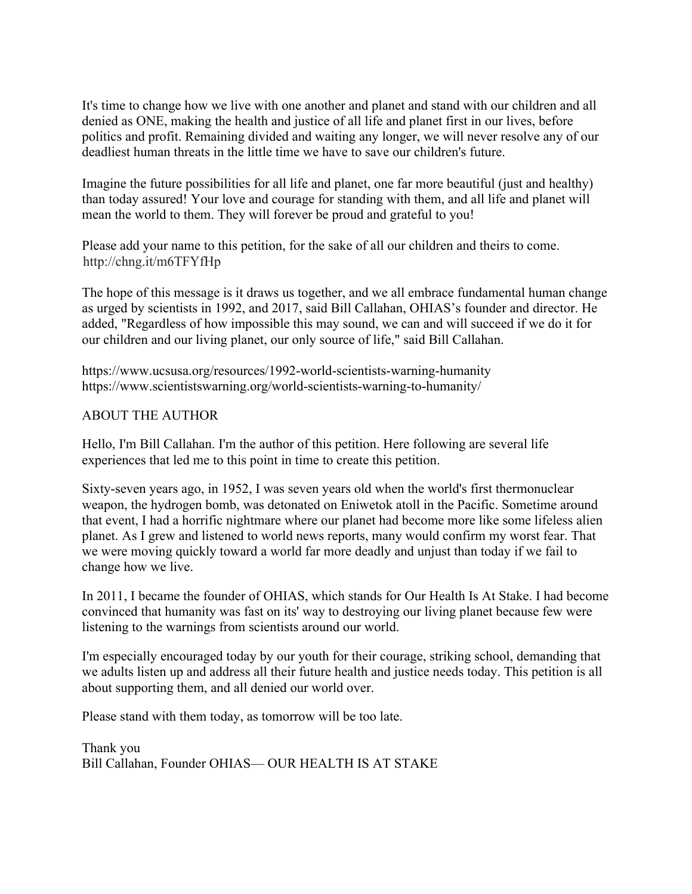It's time to change how we live with one another and planet and stand with our children and all denied as ONE, making the health and justice of all life and planet first in our lives, before politics and profit. Remaining divided and waiting any longer, we will never resolve any of our deadliest human threats in the little time we have to save our children's future.

Imagine the future possibilities for all life and planet, one far more beautiful (just and healthy) than today assured! Your love and courage for standing with them, and all life and planet will mean the world to them. They will forever be proud and grateful to you!

Please add your name to this petition, for the sake of all our children and theirs to come. http://chng.it/m6TFYfHp

The hope of this message is it draws us together, and we all embrace fundamental human change as urged by scientists in 1992, and 2017, said Bill Callahan, OHIAS's founder and director. He added, "Regardless of how impossible this may sound, we can and will succeed if we do it for our children and our living planet, our only source of life," said Bill Callahan.

https://www.ucsusa.org/resources/1992-world-scientists-warning-humanity https://www.scientistswarning.org/world-scientists-warning-to-humanity/

## ABOUT THE AUTHOR

Hello, I'm Bill Callahan. I'm the author of this petition. Here following are several life experiences that led me to this point in time to create this petition.

Sixty-seven years ago, in 1952, I was seven years old when the world's first thermonuclear weapon, the hydrogen bomb, was detonated on Eniwetok atoll in the Pacific. Sometime around that event, I had a horrific nightmare where our planet had become more like some lifeless alien planet. As I grew and listened to world news reports, many would confirm my worst fear. That we were moving quickly toward a world far more deadly and unjust than today if we fail to change how we live.

In 2011, I became the founder of OHIAS, which stands for Our Health Is At Stake. I had become convinced that humanity was fast on its' way to destroying our living planet because few were listening to the warnings from scientists around our world.

I'm especially encouraged today by our youth for their courage, striking school, demanding that we adults listen up and address all their future health and justice needs today. This petition is all about supporting them, and all denied our world over.

Please stand with them today, as tomorrow will be too late.

Thank you Bill Callahan, Founder OHIAS— OUR HEALTH IS AT STAKE